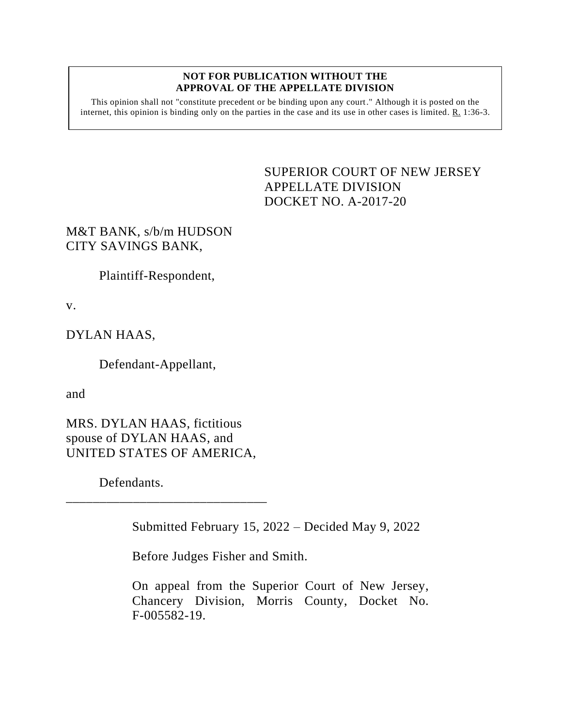## **NOT FOR PUBLICATION WITHOUT THE APPROVAL OF THE APPELLATE DIVISION**

This opinion shall not "constitute precedent or be binding upon any court." Although it is posted on the internet, this opinion is binding only on the parties in the case and its use in other cases is limited. R. 1:36-3.

> SUPERIOR COURT OF NEW JERSEY APPELLATE DIVISION DOCKET NO. A-2017-20

M&T BANK, s/b/m HUDSON CITY SAVINGS BANK,

Plaintiff-Respondent,

v.

DYLAN HAAS,

Defendant-Appellant,

and

MRS. DYLAN HAAS, fictitious spouse of DYLAN HAAS, and UNITED STATES OF AMERICA,

\_\_\_\_\_\_\_\_\_\_\_\_\_\_\_\_\_\_\_\_\_\_\_\_\_\_\_\_\_\_

Defendants.

Submitted February 15, 2022 – Decided May 9, 2022

Before Judges Fisher and Smith.

On appeal from the Superior Court of New Jersey, Chancery Division, Morris County, Docket No. F-005582-19.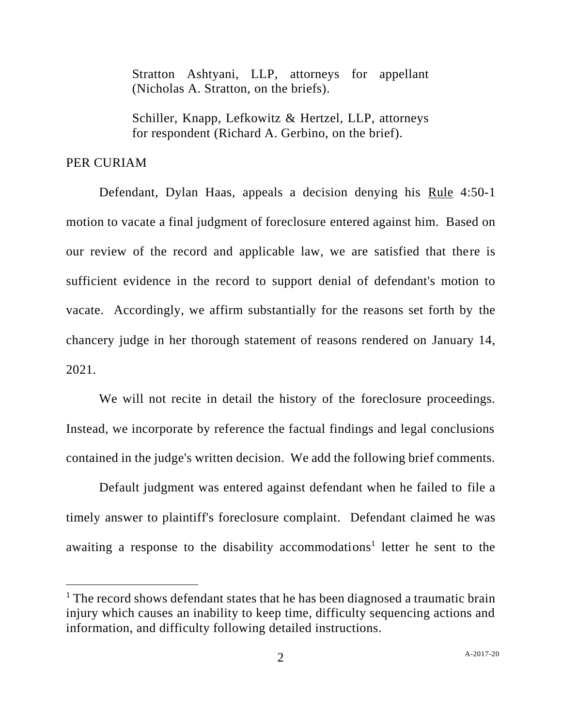Stratton Ashtyani, LLP, attorneys for appellant (Nicholas A. Stratton, on the briefs).

Schiller, Knapp, Lefkowitz & Hertzel, LLP, attorneys for respondent (Richard A. Gerbino, on the brief).

## PER CURIAM

Defendant, Dylan Haas, appeals a decision denying his Rule 4:50-1 motion to vacate a final judgment of foreclosure entered against him. Based on our review of the record and applicable law, we are satisfied that there is sufficient evidence in the record to support denial of defendant's motion to vacate. Accordingly, we affirm substantially for the reasons set forth by the chancery judge in her thorough statement of reasons rendered on January 14, 2021.

We will not recite in detail the history of the foreclosure proceedings. Instead, we incorporate by reference the factual findings and legal conclusions contained in the judge's written decision. We add the following brief comments.

Default judgment was entered against defendant when he failed to file a timely answer to plaintiff's foreclosure complaint. Defendant claimed he was awaiting a response to the disability accommodations<sup>1</sup> letter he sent to the

 $<sup>1</sup>$  The record shows defendant states that he has been diagnosed a traumatic brain</sup> injury which causes an inability to keep time, difficulty sequencing actions and information, and difficulty following detailed instructions.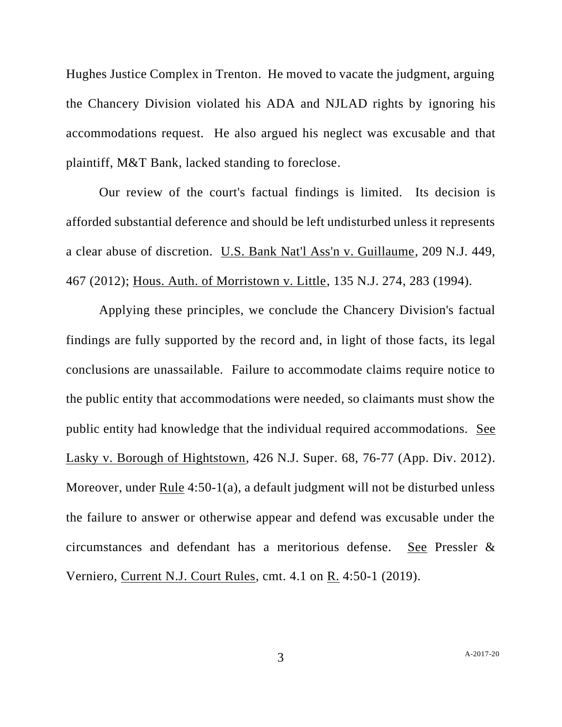Hughes Justice Complex in Trenton. He moved to vacate the judgment, arguing the Chancery Division violated his ADA and NJLAD rights by ignoring his accommodations request. He also argued his neglect was excusable and that plaintiff, M&T Bank, lacked standing to foreclose.

Our review of the court's factual findings is limited. Its decision is afforded substantial deference and should be left undisturbed unless it represents a clear abuse of discretion. U.S. Bank Nat'l Ass'n v. Guillaume, 209 N.J. 449, 467 (2012); Hous. Auth. of Morristown v. Little, 135 N.J. 274, 283 (1994).

Applying these principles, we conclude the Chancery Division's factual findings are fully supported by the record and, in light of those facts, its legal conclusions are unassailable. Failure to accommodate claims require notice to the public entity that accommodations were needed, so claimants must show the public entity had knowledge that the individual required accommodations. See Lasky v. Borough of Hightstown, 426 N.J. Super. 68, 76-77 (App. Div. 2012). Moreover, under Rule 4:50-1(a), a default judgment will not be disturbed unless the failure to answer or otherwise appear and defend was excusable under the circumstances and defendant has a meritorious defense. See Pressler & Verniero, Current N.J. Court Rules, cmt. 4.1 on R. 4:50-1 (2019).